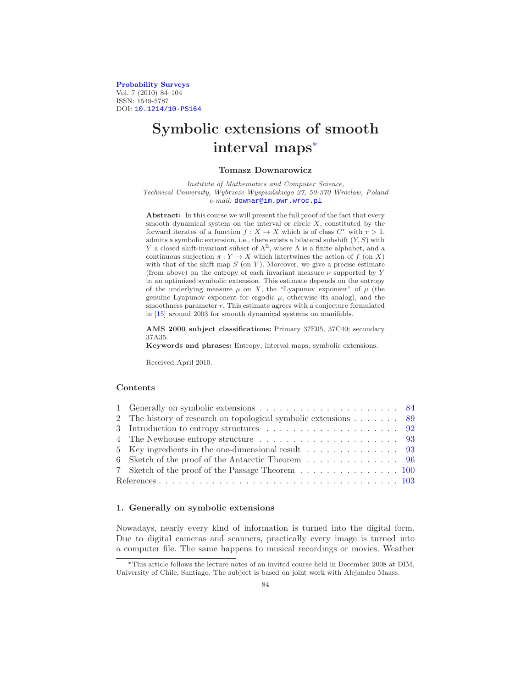[Probability Surveys](http://www.i-journals.org/ps) Vol. 7 (2010) 84–104 ISSN: 1549-5787 DOI: [10.1214/10-PS164](http://dx.doi.org/10.1214/10-PS164)

# Symbolic extensions of smooth interval maps[∗](#page-0-0)

### Tomasz Downarowicz

Institute of Mathematics and Computer Science, Technical University, Wybrzeże Wyspiańskiego 27, 50-370 Wrocław, Poland e-mail: [downar@im.pwr.wroc.pl](mailto:downar@im.pwr.wroc.pl)

Abstract: In this course we will present the full proof of the fact that every smooth dynamical system on the interval or circle  $X$ , constituted by the forward iterates of a function  $f: X \to X$  which is of class  $C^r$  with  $r > 1$ , admits a symbolic extension, i.e., there exists a bilateral subshift  $(Y, S)$  with Y a closed shift-invariant subset of  $\Lambda^{\mathbb{Z}}$ , where  $\Lambda$  is a finite alphabet, and a continuous surjection  $\pi: Y \to X$  which intertwines the action of f (on X) with that of the shift map  $S$  (on  $Y$ ). Moreover, we give a precise estimate (from above) on the entropy of each invariant measure  $\nu$  supported by Y in an optimized symbolic extension. This estimate depends on the entropy of the underlying measure  $\mu$  on X, the "Lyapunov exponent" of  $\mu$  (the genuine Lyapunov exponent for ergodic  $\mu$ , otherwise its analog), and the smoothness parameter  $r$ . This estimate agrees with a conjecture formulated in [\[15\]](#page-19-0) around 2003 for smooth dynamical systems on manifolds.

AMS 2000 subject classifications: Primary 37E05, 37C40; secondary 37A35.

Keywords and phrases: Entropy, interval maps, symbolic extensions.

Received April 2010.

# Contents

| 2 The history of research on topological symbolic extensions $\ldots$ $\ldots$ 89     |  |
|---------------------------------------------------------------------------------------|--|
|                                                                                       |  |
| 4 The Newhouse entropy structure $\dots \dots \dots \dots \dots \dots \dots \dots$ 93 |  |
| 5 Key ingredients in the one-dimensional result $\ldots \ldots \ldots \ldots$ 93      |  |
| 6 Sketch of the proof of the Antarctic Theorem 96                                     |  |
|                                                                                       |  |
|                                                                                       |  |

# <span id="page-0-1"></span>1. Generally on symbolic extensions

Nowadays, nearly every kind of information is turned into the digital form. Due to digital cameras and scanners, practically every image is turned into a computer file. The same happens to musical recordings or movies. Weather

<span id="page-0-0"></span><sup>∗</sup>This article follows the lecture notes of an invited course held in December 2008 at DIM, University of Chile, Santiago. The subject is based on joint work with Alejandro Maass.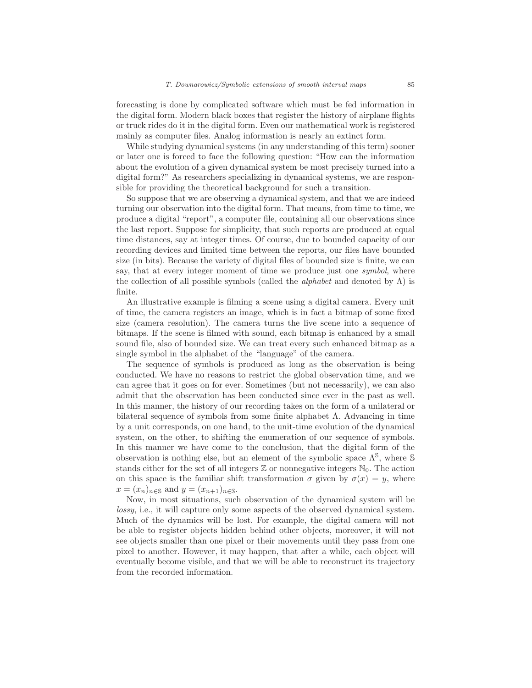forecasting is done by complicated software which must be fed information in the digital form. Modern black boxes that register the history of airplane flights or truck rides do it in the digital form. Even our mathematical work is registered mainly as computer files. Analog information is nearly an extinct form.

While studying dynamical systems (in any understanding of this term) sooner or later one is forced to face the following question: "How can the information about the evolution of a given dynamical system be most precisely turned into a digital form?" As researchers specializing in dynamical systems, we are responsible for providing the theoretical background for such a transition.

So suppose that we are observing a dynamical system, and that we are indeed turning our observation into the digital form. That means, from time to time, we produce a digital "report", a computer file, containing all our observations since the last report. Suppose for simplicity, that such reports are produced at equal time distances, say at integer times. Of course, due to bounded capacity of our recording devices and limited time between the reports, our files have bounded size (in bits). Because the variety of digital files of bounded size is finite, we can say, that at every integer moment of time we produce just one *symbol*, where the collection of all possible symbols (called the *alphabet* and denoted by  $\Lambda$ ) is finite.

An illustrative example is filming a scene using a digital camera. Every unit of time, the camera registers an image, which is in fact a bitmap of some fixed size (camera resolution). The camera turns the live scene into a sequence of bitmaps. If the scene is filmed with sound, each bitmap is enhanced by a small sound file, also of bounded size. We can treat every such enhanced bitmap as a single symbol in the alphabet of the "language" of the camera.

The sequence of symbols is produced as long as the observation is being conducted. We have no reasons to restrict the global observation time, and we can agree that it goes on for ever. Sometimes (but not necessarily), we can also admit that the observation has been conducted since ever in the past as well. In this manner, the history of our recording takes on the form of a unilateral or bilateral sequence of symbols from some finite alphabet  $\Lambda$ . Advancing in time by a unit corresponds, on one hand, to the unit-time evolution of the dynamical system, on the other, to shifting the enumeration of our sequence of symbols. In this manner we have come to the conclusion, that the digital form of the observation is nothing else, but an element of the symbolic space  $\Lambda^{\mathbb{S}}$ , where  $\mathbb{S}$ stands either for the set of all integers  $\mathbb{Z}$  or nonnegative integers  $\mathbb{N}_0$ . The action on this space is the familiar shift transformation  $\sigma$  given by  $\sigma(x) = y$ , where  $x = (x_n)_{n \in \mathbb{S}}$  and  $y = (x_{n+1})_{n \in \mathbb{S}}$ .

Now, in most situations, such observation of the dynamical system will be lossy, i.e., it will capture only some aspects of the observed dynamical system. Much of the dynamics will be lost. For example, the digital camera will not be able to register objects hidden behind other objects, moreover, it will not see objects smaller than one pixel or their movements until they pass from one pixel to another. However, it may happen, that after a while, each object will eventually become visible, and that we will be able to reconstruct its trajectory from the recorded information.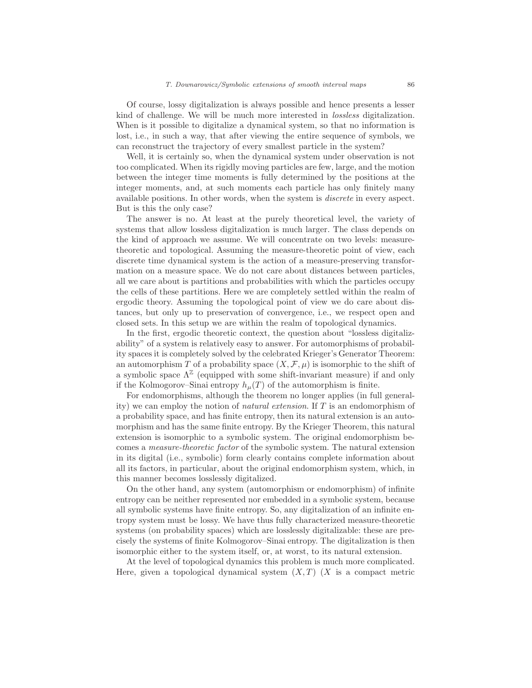Of course, lossy digitalization is always possible and hence presents a lesser kind of challenge. We will be much more interested in lossless digitalization. When is it possible to digitalize a dynamical system, so that no information is lost, i.e., in such a way, that after viewing the entire sequence of symbols, we can reconstruct the trajectory of every smallest particle in the system?

Well, it is certainly so, when the dynamical system under observation is not too complicated. When its rigidly moving particles are few, large, and the motion between the integer time moments is fully determined by the positions at the integer moments, and, at such moments each particle has only finitely many available positions. In other words, when the system is discrete in every aspect. But is this the only case?

The answer is no. At least at the purely theoretical level, the variety of systems that allow lossless digitalization is much larger. The class depends on the kind of approach we assume. We will concentrate on two levels: measuretheoretic and topological. Assuming the measure-theoretic point of view, each discrete time dynamical system is the action of a measure-preserving transformation on a measure space. We do not care about distances between particles, all we care about is partitions and probabilities with which the particles occupy the cells of these partitions. Here we are completely settled within the realm of ergodic theory. Assuming the topological point of view we do care about distances, but only up to preservation of convergence, i.e., we respect open and closed sets. In this setup we are within the realm of topological dynamics.

In the first, ergodic theoretic context, the question about "lossless digitalizability" of a system is relatively easy to answer. For automorphisms of probability spaces it is completely solved by the celebrated Krieger's Generator Theorem: an automorphism T of a probability space  $(X, \mathcal{F}, \mu)$  is isomorphic to the shift of a symbolic space  $\Lambda^{\mathbb{Z}}$  (equipped with some shift-invariant measure) if and only if the Kolmogorov–Sinai entropy  $h_\mu(T)$  of the automorphism is finite.

For endomorphisms, although the theorem no longer applies (in full generality) we can employ the notion of *natural extension*. If  $T$  is an endomorphism of a probability space, and has finite entropy, then its natural extension is an automorphism and has the same finite entropy. By the Krieger Theorem, this natural extension is isomorphic to a symbolic system. The original endomorphism becomes a measure-theoretic factor of the symbolic system. The natural extension in its digital (i.e., symbolic) form clearly contains complete information about all its factors, in particular, about the original endomorphism system, which, in this manner becomes losslessly digitalized.

On the other hand, any system (automorphism or endomorphism) of infinite entropy can be neither represented nor embedded in a symbolic system, because all symbolic systems have finite entropy. So, any digitalization of an infinite entropy system must be lossy. We have thus fully characterized measure-theoretic systems (on probability spaces) which are losslessly digitalizable: these are precisely the systems of finite Kolmogorov–Sinai entropy. The digitalization is then isomorphic either to the system itself, or, at worst, to its natural extension.

At the level of topological dynamics this problem is much more complicated. Here, given a topological dynamical system  $(X, T)$   $(X$  is a compact metric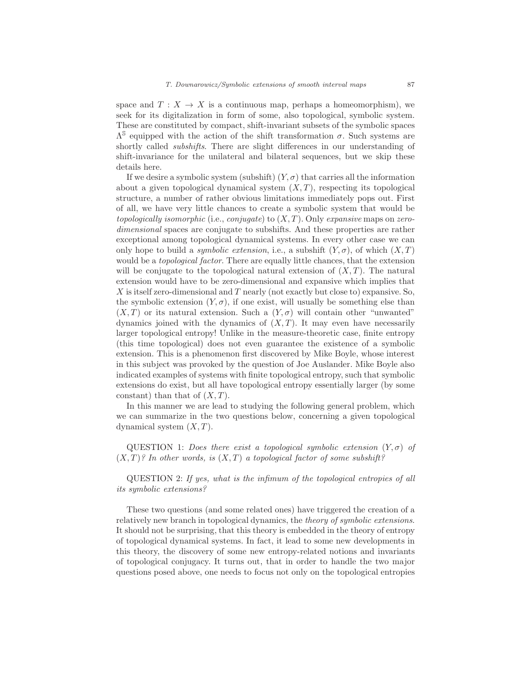space and  $T : X \to X$  is a continuous map, perhaps a homeomorphism), we seek for its digitalization in form of some, also topological, symbolic system. These are constituted by compact, shift-invariant subsets of the symbolic spaces  $Λ<sup>§</sup>$  equipped with the action of the shift transformation  $σ$ . Such systems are shortly called subshifts. There are slight differences in our understanding of shift-invariance for the unilateral and bilateral sequences, but we skip these details here.

If we desire a symbolic system (subshift)  $(Y, \sigma)$  that carries all the information about a given topological dynamical system  $(X, T)$ , respecting its topological structure, a number of rather obvious limitations immediately pops out. First of all, we have very little chances to create a symbolic system that would be topologically isomorphic (i.e., conjugate) to  $(X, T)$ . Only expansive maps on zerodimensional spaces are conjugate to subshifts. And these properties are rather exceptional among topological dynamical systems. In every other case we can only hope to build a *symbolic extension*, i.e., a subshift  $(Y, \sigma)$ , of which  $(X, T)$ would be a *topological factor*. There are equally little chances, that the extension will be conjugate to the topological natural extension of  $(X, T)$ . The natural extension would have to be zero-dimensional and expansive which implies that  $X$  is itself zero-dimensional and  $T$  nearly (not exactly but close to) expansive. So, the symbolic extension  $(Y, \sigma)$ , if one exist, will usually be something else than  $(X, T)$  or its natural extension. Such a  $(Y, \sigma)$  will contain other "unwanted" dynamics joined with the dynamics of  $(X, T)$ . It may even have necessarily larger topological entropy! Unlike in the measure-theoretic case, finite entropy (this time topological) does not even guarantee the existence of a symbolic extension. This is a phenomenon first discovered by Mike Boyle, whose interest in this subject was provoked by the question of Joe Auslander. Mike Boyle also indicated examples of systems with finite topological entropy, such that symbolic extensions do exist, but all have topological entropy essentially larger (by some constant) than that of  $(X, T)$ .

In this manner we are lead to studying the following general problem, which we can summarize in the two questions below, concerning a given topological dynamical system  $(X, T)$ .

QUESTION 1: Does there exist a topological symbolic extension  $(Y, \sigma)$  of  $(X, T)$ ? In other words, is  $(X, T)$  a topological factor of some subshift?

QUESTION 2: If yes, what is the infimum of the topological entropies of all its symbolic extensions?

These two questions (and some related ones) have triggered the creation of a relatively new branch in topological dynamics, the theory of symbolic extensions. It should not be surprising, that this theory is embedded in the theory of entropy of topological dynamical systems. In fact, it lead to some new developments in this theory, the discovery of some new entropy-related notions and invariants of topological conjugacy. It turns out, that in order to handle the two major questions posed above, one needs to focus not only on the topological entropies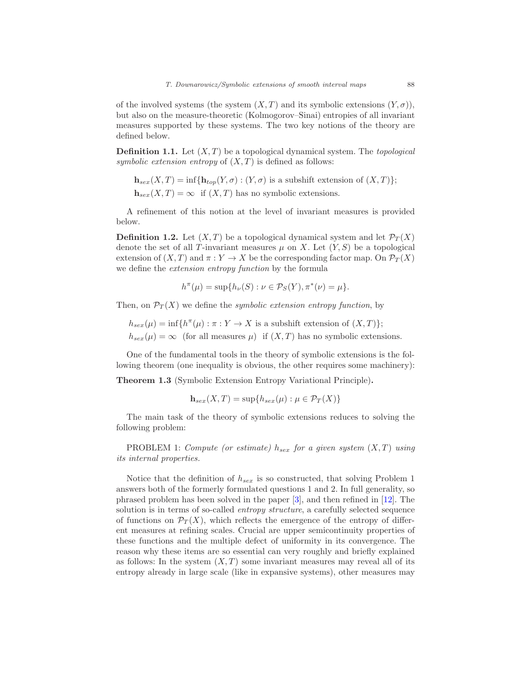of the involved systems (the system  $(X, T)$  and its symbolic extensions  $(Y, \sigma)$ ), but also on the measure-theoretic (Kolmogorov–Sinai) entropies of all invariant measures supported by these systems. The two key notions of the theory are defined below.

**Definition 1.1.** Let  $(X, T)$  be a topological dynamical system. The *topological* symbolic extension entropy of  $(X, T)$  is defined as follows:

 $h_{sex}(X,T) = \inf\{h_{top}(Y,\sigma) : (Y,\sigma)$  is a subshift extension of  $(X,T)$ ;  $h_{sex}(X,T) = \infty$  if  $(X,T)$  has no symbolic extensions.

A refinement of this notion at the level of invariant measures is provided below.

**Definition 1.2.** Let  $(X, T)$  be a topological dynamical system and let  $\mathcal{P}_T(X)$ denote the set of all T-invariant measures  $\mu$  on X. Let  $(Y, S)$  be a topological extension of  $(X, T)$  and  $\pi : Y \to X$  be the corresponding factor map. On  $\mathcal{P}_T(X)$ we define the *extension entropy function* by the formula

$$
h^{\pi}(\mu) = \sup\{h_{\nu}(S) : \nu \in \mathcal{P}_S(Y), \pi^*(\nu) = \mu\}.
$$

Then, on  $\mathcal{P}_T(X)$  we define the *symbolic extension entropy function*, by

 $h_{sex}(\mu) = \inf\{h^{\pi}(\mu) : \pi : Y \to X \text{ is a subshift extension of } (X,T)\};$  $h_{sex}(\mu) = \infty$  (for all measures  $\mu$ ) if  $(X, T)$  has no symbolic extensions.

One of the fundamental tools in the theory of symbolic extensions is the following theorem (one inequality is obvious, the other requires some machinery):

<span id="page-4-0"></span>Theorem 1.3 (Symbolic Extension Entropy Variational Principle).

$$
\mathbf{h}_{sex}(X,T) = \sup\{h_{sex}(\mu) : \mu \in \mathcal{P}_T(X)\}
$$

The main task of the theory of symbolic extensions reduces to solving the following problem:

PROBLEM 1: Compute (or estimate)  $h_{sex}$  for a given system  $(X, T)$  using its internal properties.

Notice that the definition of  $h_{sex}$  is so constructed, that solving Problem 1 answers both of the formerly formulated questions 1 and 2. In full generality, so phrased problem has been solved in the paper [\[3](#page-19-2)], and then refined in [\[12\]](#page-19-3). The solution is in terms of so-called *entropy structure*, a carefully selected sequence of functions on  $\mathcal{P}_T(X)$ , which reflects the emergence of the entropy of different measures at refining scales. Crucial are upper semicontinuity properties of these functions and the multiple defect of uniformity in its convergence. The reason why these items are so essential can very roughly and briefly explained as follows: In the system  $(X, T)$  some invariant measures may reveal all of its entropy already in large scale (like in expansive systems), other measures may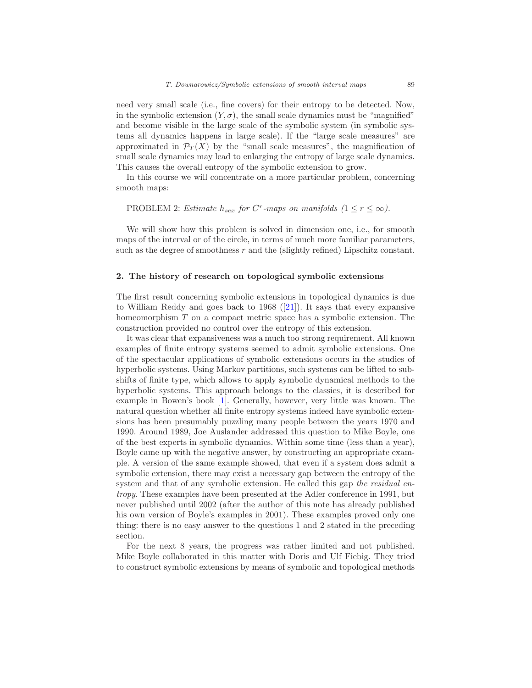need very small scale (i.e., fine covers) for their entropy to be detected. Now, in the symbolic extension  $(Y, \sigma)$ , the small scale dynamics must be "magnified" and become visible in the large scale of the symbolic system (in symbolic systems all dynamics happens in large scale). If the "large scale measures" are approximated in  $\mathcal{P}_T(X)$  by the "small scale measures", the magnification of small scale dynamics may lead to enlarging the entropy of large scale dynamics. This causes the overall entropy of the symbolic extension to grow.

In this course we will concentrate on a more particular problem, concerning smooth maps:

# PROBLEM 2: Estimate  $h_{sex}$  for C<sup>r</sup>-maps on manifolds  $(1 \le r \le \infty)$ .

We will show how this problem is solved in dimension one, i.e., for smooth maps of the interval or of the circle, in terms of much more familiar parameters, such as the degree of smoothness  $r$  and the (slightly refined) Lipschitz constant.

# <span id="page-5-0"></span>2. The history of research on topological symbolic extensions

The first result concerning symbolic extensions in topological dynamics is due to William Reddy and goes back to 1968 ([\[21\]](#page-20-0)). It says that every expansive homeomorphism T on a compact metric space has a symbolic extension. The construction provided no control over the entropy of this extension.

It was clear that expansiveness was a much too strong requirement. All known examples of finite entropy systems seemed to admit symbolic extensions. One of the spectacular applications of symbolic extensions occurs in the studies of hyperbolic systems. Using Markov partitions, such systems can be lifted to subshifts of finite type, which allows to apply symbolic dynamical methods to the hyperbolic systems. This approach belongs to the classics, it is described for example in Bowen's book [\[1\]](#page-19-4). Generally, however, very little was known. The natural question whether all finite entropy systems indeed have symbolic extensions has been presumably puzzling many people between the years 1970 and 1990. Around 1989, Joe Auslander addressed this question to Mike Boyle, one of the best experts in symbolic dynamics. Within some time (less than a year), Boyle came up with the negative answer, by constructing an appropriate example. A version of the same example showed, that even if a system does admit a symbolic extension, there may exist a necessary gap between the entropy of the system and that of any symbolic extension. He called this gap the residual entropy. These examples have been presented at the Adler conference in 1991, but never published until 2002 (after the author of this note has already published his own version of Boyle's examples in 2001). These examples proved only one thing: there is no easy answer to the questions 1 and 2 stated in the preceding section.

For the next 8 years, the progress was rather limited and not published. Mike Boyle collaborated in this matter with Doris and Ulf Fiebig. They tried to construct symbolic extensions by means of symbolic and topological methods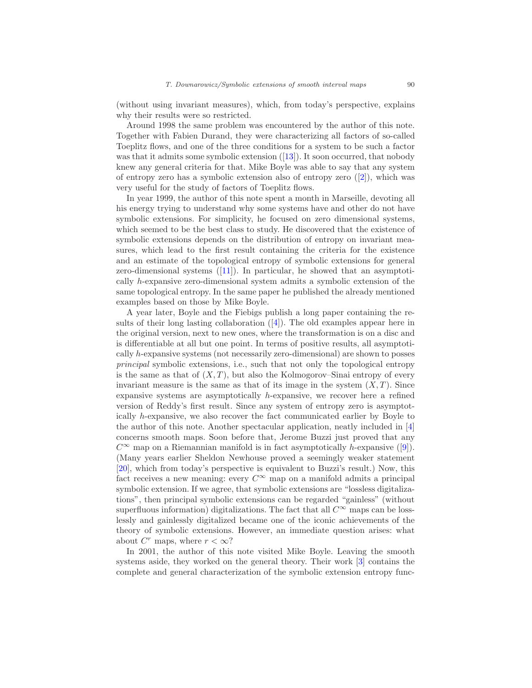(without using invariant measures), which, from today's perspective, explains why their results were so restricted.

Around 1998 the same problem was encountered by the author of this note. Together with Fabien Durand, they were characterizing all factors of so-called Toeplitz flows, and one of the three conditions for a system to be such a factor was that it admits some symbolic extension  $(13)$ . It soon occurred, that nobody knew any general criteria for that. Mike Boyle was able to say that any system of entropy zero has a symbolic extension also of entropy zero ([\[2\]](#page-19-6)), which was very useful for the study of factors of Toeplitz flows.

In year 1999, the author of this note spent a month in Marseille, devoting all his energy trying to understand why some systems have and other do not have symbolic extensions. For simplicity, he focused on zero dimensional systems, which seemed to be the best class to study. He discovered that the existence of symbolic extensions depends on the distribution of entropy on invariant measures, which lead to the first result containing the criteria for the existence and an estimate of the topological entropy of symbolic extensions for general zero-dimensional systems  $([11])$  $([11])$  $([11])$ . In particular, he showed that an asymptotically h-expansive zero-dimensional system admits a symbolic extension of the same topological entropy. In the same paper he published the already mentioned examples based on those by Mike Boyle.

A year later, Boyle and the Fiebigs publish a long paper containing the results of their long lasting collaboration  $([4])$  $([4])$  $([4])$ . The old examples appear here in the original version, next to new ones, where the transformation is on a disc and is differentiable at all but one point. In terms of positive results, all asymptotically h-expansive systems (not necessarily zero-dimensional) are shown to posses principal symbolic extensions, i.e., such that not only the topological entropy is the same as that of  $(X, T)$ , but also the Kolmogorov–Sinai entropy of every invariant measure is the same as that of its image in the system  $(X, T)$ . Since expansive systems are asymptotically h-expansive, we recover here a refined version of Reddy's first result. Since any system of entropy zero is asymptotically h-expansive, we also recover the fact communicated earlier by Boyle to the author of this note. Another spectacular application, neatly included in [\[4\]](#page-19-8) concerns smooth maps. Soon before that, Jerome Buzzi just proved that any  $C^{\infty}$  map on a Riemannian manifold is in fact asymptotically h-expansive ([\[9](#page-19-9)]). (Many years earlier Sheldon Newhouse proved a seemingly weaker statement [\[20\]](#page-20-1), which from today's perspective is equivalent to Buzzi's result.) Now, this fact receives a new meaning: every  $C^{\infty}$  map on a manifold admits a principal symbolic extension. If we agree, that symbolic extensions are "lossless digitalizations", then principal symbolic extensions can be regarded "gainless" (without superfluous information) digitalizations. The fact that all  $C^{\infty}$  maps can be losslessly and gainlessly digitalized became one of the iconic achievements of the theory of symbolic extensions. However, an immediate question arises: what about  $C^r$  maps, where  $r < \infty$ ?

In 2001, the author of this note visited Mike Boyle. Leaving the smooth systems aside, they worked on the general theory. Their work [\[3\]](#page-19-2) contains the complete and general characterization of the symbolic extension entropy func-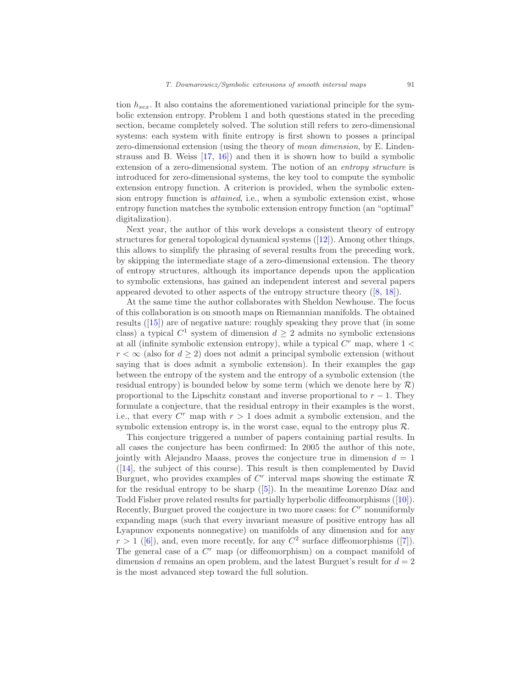tion  $h_{sex}$ . It also contains the aforementioned variational principle for the symbolic extension entropy. Problem 1 and both questions stated in the preceding section, became completely solved. The solution still refers to zero-dimensional systems: each system with finite entropy is first shown to posses a principal zero-dimensional extension (using the theory of mean dimension, by E. Lindenstrauss and B. Weiss [\[17](#page-20-2), [16](#page-19-10)]) and then it is shown how to build a symbolic extension of a zero-dimensional system. The notion of an entropy structure is introduced for zero-dimensional systems, the key tool to compute the symbolic extension entropy function. A criterion is provided, when the symbolic extension entropy function is attained, i.e., when a symbolic extension exist, whose entropy function matches the symbolic extension entropy function (an "optimal" digitalization).

Next year, the author of this work develops a consistent theory of entropy structures for general topological dynamical systems ([\[12](#page-19-3)]). Among other things, this allows to simplify the phrasing of several results from the preceding work, by skipping the intermediate stage of a zero-dimensional extension. The theory of entropy structures, although its importance depends upon the application to symbolic extensions, has gained an independent interest and several papers appeared devoted to other aspects of the entropy structure theory ([\[8](#page-19-11), [18](#page-20-3)]).

At the same time the author collaborates with Sheldon Newhouse. The focus of this collaboration is on smooth maps on Riemannian manifolds. The obtained results ([\[15\]](#page-19-0)) are of negative nature: roughly speaking they prove that (in some class) a typical  $C^1$  system of dimension  $d \geq 2$  admits no symbolic extensions at all (infinite symbolic extension entropy), while a typical  $C<sup>r</sup>$  map, where  $1 <$  $r < \infty$  (also for  $d \geq 2$ ) does not admit a principal symbolic extension (without saying that is does admit a symbolic extension). In their examples the gap between the entropy of the system and the entropy of a symbolic extension (the residual entropy) is bounded below by some term (which we denote here by  $\mathcal{R}$ ) proportional to the Lipschitz constant and inverse proportional to  $r - 1$ . They formulate a conjecture, that the residual entropy in their examples is the worst, i.e., that every  $C<sup>r</sup>$  map with  $r > 1$  does admit a symbolic extension, and the symbolic extension entropy is, in the worst case, equal to the entropy plus  $\mathcal{R}$ .

This conjecture triggered a number of papers containing partial results. In all cases the conjecture has been confirmed: In 2005 the author of this note, jointly with Alejandro Maass, proves the conjecture true in dimension  $d = 1$  $([14],$  $([14],$  $([14],$  the subject of this course). This result is then complemented by David Burguet, who provides examples of  $C<sup>r</sup>$  interval maps showing the estimate  $\mathcal R$ for the residual entropy to be sharp  $([5])$  $([5])$  $([5])$ . In the meantime Lorenzo Díaz and Todd Fisher prove related results for partially hyperbolic diffeomorphisms ([\[10](#page-19-14)]). Recently, Burguet proved the conjecture in two more cases: for  $C<sup>r</sup>$  nonuniformly expanding maps (such that every invariant measure of positive entropy has all Lyapunov exponents nonnegative) on manifolds of any dimension and for any  $r > 1$  ([\[6](#page-19-15)]), and, even more recently, for any  $C<sup>2</sup>$  surface diffeomorphisms ([\[7](#page-19-16)]). The general case of a  $C<sup>r</sup>$  map (or diffeomorphism) on a compact manifold of dimension d remains an open problem, and the latest Burguet's result for  $d = 2$ is the most advanced step toward the full solution.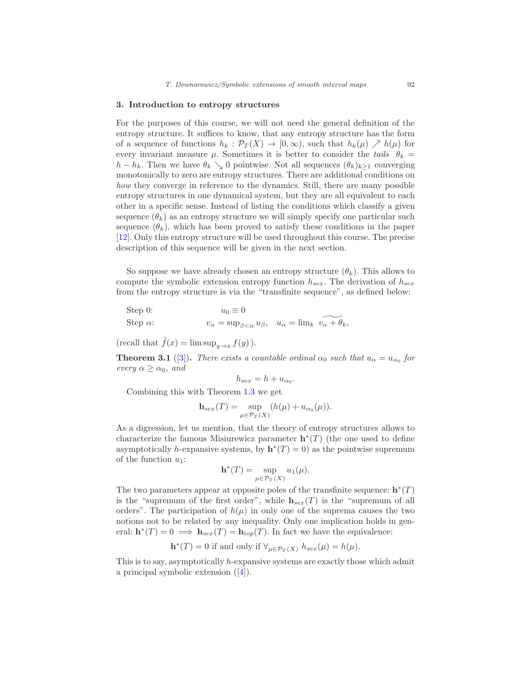#### <span id="page-8-0"></span>3. Introduction to entropy structures

For the purposes of this course, we will not need the general definition of the entropy structure. It suffices to know, that any entropy structure has the form of a sequence of functions  $h_k : \mathcal{P}_T(X) \to [0,\infty)$ , such that  $h_k(\mu) \nearrow h(\mu)$  for every invariant measure  $\mu$ . Sometimes it is better to consider the tails  $\theta_k =$  $h - h_k$ . Then we have  $\theta_k \searrow 0$  pointwise. Not all sequences  $(\theta_k)_{k\geq 1}$  converging monotonically to zero are entropy structures. There are additional conditions on how they converge in reference to the dynamics. Still, there are many possible entropy structures in one dynamical system, but they are all equivalent to each other in a specific sense. Instead of listing the conditions which classify a given sequence  $(\theta_k)$  as an entropy structure we will simply specify one particular such sequence  $(\theta_k)$ , which has been proved to satisfy these conditions in the paper [\[12\]](#page-19-3). Only this entropy structure will be used throughout this course. The precise description of this sequence will be given in the next section.

So suppose we have already chosen an entropy structure  $(\theta_k)$ . This allows to compute the symbolic extension entropy function  $h_{sex}$ . The derivation of  $h_{sex}$ from the entropy structure is via the "transfinite sequence", as defined below:

| Step $0$ :      | $u_0 \equiv 0$                                                                                     |  |
|-----------------|----------------------------------------------------------------------------------------------------|--|
| Step $\alpha$ : | $v_{\alpha} = \sup_{\beta < \alpha} u_{\beta}, \quad u_{\alpha} = \lim_{k} v_{\alpha} + \theta_k,$ |  |

(recall that  $\tilde{f}(x) = \limsup_{y \to x} f(y)$ ).

**Theorem 3.1** ([\[3](#page-19-2)]). There exists a countable ordinal  $\alpha_0$  such that  $u_\alpha = u_{\alpha_0}$  for every  $\alpha \geq \alpha_0$ , and

$$
h_{sex} = h + u_{\alpha_0}.
$$

Combining this with Theorem [1.3](#page-4-0) we get

$$
\mathbf{h}_{sex}(T) = \sup_{\mu \in \mathcal{P}_T(X)} (h(\mu) + u_{\alpha_0}(\mu)).
$$

As a digression, let us mention, that the theory of entropy structures allows to characterize the famous Misiurewicz parameter  $\mathbf{h}^*(T)$  (the one used to define asymptotically h-expansive systems, by  $h^*(T) = 0$  as the pointwise supremum of the function  $u_1$ :

$$
\mathbf{h}^*(T) = \sup_{\mu \in \mathcal{P}_T(X)} u_1(\mu).
$$

The two parameters appear at opposite poles of the transfinite sequence:  $\mathbf{h}^*(T)$ is the "supremum of the first order", while  $h_{sex}(T)$  is the "supremum of all orders". The participation of  $h(\mu)$  in only one of the suprema causes the two notions not to be related by any inequality. Only one implication holds in general:  $\mathbf{h}^*(T) = 0 \implies \mathbf{h}_{sex}(T) = \mathbf{h}_{top}(T)$ . In fact we have the equivalence:

$$
\mathbf{h}^*(T) = 0
$$
 if and only if  $\forall_{\mu \in \mathcal{P}_T(X)} h_{sex}(\mu) = h(\mu).$ 

This is to say, asymptotically h-expansive systems are exactly those which admit a principal symbolic extension ([\[4\]](#page-19-8)).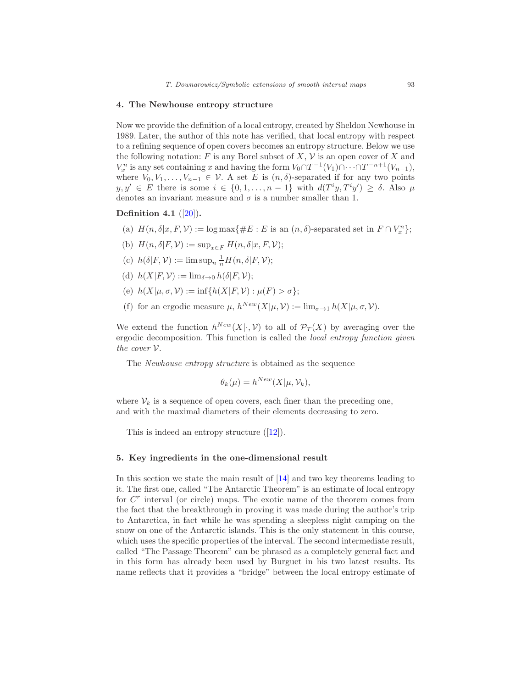#### <span id="page-9-0"></span>4. The Newhouse entropy structure

Now we provide the definition of a local entropy, created by Sheldon Newhouse in 1989. Later, the author of this note has verified, that local entropy with respect to a refining sequence of open covers becomes an entropy structure. Below we use the following notation: F is any Borel subset of X,  $\mathcal V$  is an open cover of X and  $V_x^n$  is any set containing x and having the form  $V_0 \cap T^{-1}(V_1) \cap \cdots \cap T^{-n+1}(V_{n-1}),$ where  $V_0, V_1, \ldots, V_{n-1} \in \mathcal{V}$ . A set E is  $(n, \delta)$ -separated if for any two points  $y, y' \in E$  there is some  $i \in \{0, 1, \ldots, n-1\}$  with  $d(T^i y, T^i y') \geq \delta$ . Also  $\mu$ denotes an invariant measure and  $\sigma$  is a number smaller than 1.

# Definition 4.1  $([20])$  $([20])$  $([20])$ .

- (a)  $H(n, \delta | x, F, V) := \log \max\{\#E : E \text{ is an } (n, \delta)\text{-separated set in } F \cap V_x^n\};\$
- (b)  $H(n, \delta | F, V) := \sup_{x \in F} H(n, \delta | x, F, V);$
- (c)  $h(\delta|F, V) := \limsup_n \frac{1}{n} H(n, \delta|F, V);$
- (d)  $h(X|F, V) := \lim_{\delta \to 0} h(\delta|F, V);$
- (e)  $h(X|\mu, \sigma, V) := \inf\{h(X|F, V) : \mu(F) > \sigma\};$
- (f) for an ergodic measure  $\mu$ ,  $h^{New}(X|\mu, V) := \lim_{\sigma \to 1} h(X|\mu, \sigma, V)$ .

We extend the function  $h^{New}(X|\cdot, V)$  to all of  $\mathcal{P}_T(X)$  by averaging over the ergodic decomposition. This function is called the local entropy function given the cover V.

The Newhouse entropy structure is obtained as the sequence

$$
\theta_k(\mu) = h^{New}(X|\mu, \mathcal{V}_k),
$$

where  $V_k$  is a sequence of open covers, each finer than the preceding one, and with the maximal diameters of their elements decreasing to zero.

This is indeed an entropy structure  $([12])$  $([12])$  $([12])$ .

# <span id="page-9-1"></span>5. Key ingredients in the one-dimensional result

In this section we state the main result of [\[14](#page-19-12)] and two key theorems leading to it. The first one, called "The Antarctic Theorem" is an estimate of local entropy for  $C<sup>r</sup>$  interval (or circle) maps. The exotic name of the theorem comes from the fact that the breakthrough in proving it was made during the author's trip to Antarctica, in fact while he was spending a sleepless night camping on the snow on one of the Antarctic islands. This is the only statement in this course, which uses the specific properties of the interval. The second intermediate result, called "The Passage Theorem" can be phrased as a completely general fact and in this form has already been used by Burguet in his two latest results. Its name reflects that it provides a "bridge" between the local entropy estimate of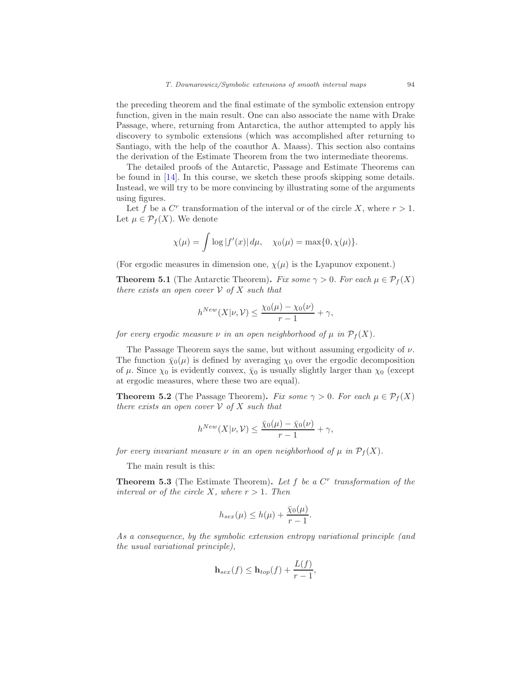the preceding theorem and the final estimate of the symbolic extension entropy function, given in the main result. One can also associate the name with Drake Passage, where, returning from Antarctica, the author attempted to apply his discovery to symbolic extensions (which was accomplished after returning to Santiago, with the help of the coauthor A. Maass). This section also contains the derivation of the Estimate Theorem from the two intermediate theorems.

The detailed proofs of the Antarctic, Passage and Estimate Theorems can be found in [\[14\]](#page-19-12). In this course, we sketch these proofs skipping some details. Instead, we will try to be more convincing by illustrating some of the arguments using figures.

Let f be a  $C^r$  transformation of the interval or of the circle X, where  $r > 1$ . Let  $\mu \in \mathcal{P}_f(X)$ . We denote

$$
\chi(\mu) = \int \log |f'(x)| d\mu, \quad \chi_0(\mu) = \max\{0, \chi(\mu)\}.
$$

(For ergodic measures in dimension one,  $\chi(\mu)$  is the Lyapunov exponent.)

**Theorem 5.1** (The Antarctic Theorem). Fix some  $\gamma > 0$ . For each  $\mu \in \mathcal{P}_f(X)$ there exists an open cover  $\mathcal V$  of  $X$  such that

$$
h^{New}(X|\nu, \mathcal{V}) \le \frac{\chi_0(\mu) - \chi_0(\nu)}{r - 1} + \gamma,
$$

for every ergodic measure  $\nu$  in an open neighborhood of  $\mu$  in  $\mathcal{P}_f(X)$ .

The Passage Theorem says the same, but without assuming ergodicity of  $\nu$ . The function  $\bar{\chi}_0(\mu)$  is defined by averaging  $\chi_0$  over the ergodic decomposition of  $\mu$ . Since  $\chi_0$  is evidently convex,  $\bar{\chi}_0$  is usually slightly larger than  $\chi_0$  (except at ergodic measures, where these two are equal).

**Theorem 5.2** (The Passage Theorem). Fix some  $\gamma > 0$ . For each  $\mu \in \mathcal{P}_f(X)$ there exists an open cover  $\mathcal V$  of  $X$  such that

$$
h^{New}(X|\nu, \mathcal{V}) \le \frac{\bar{\chi}_0(\mu) - \bar{\chi}_0(\nu)}{r - 1} + \gamma,
$$

for every invariant measure  $\nu$  in an open neighborhood of  $\mu$  in  $\mathcal{P}_f(X)$ .

The main result is this:

**Theorem 5.3** (The Estimate Theorem). Let  $f$  be a  $C<sup>r</sup>$  transformation of the interval or of the circle X, where  $r > 1$ . Then

$$
h_{sex}(\mu) \le h(\mu) + \frac{\bar{\chi}_0(\mu)}{r-1}.
$$

As a consequence, by the symbolic extension entropy variational principle (and the usual variational principle),

$$
\mathbf{h}_{sex}(f) \leq \mathbf{h}_{top}(f) + \frac{L(f)}{r-1},
$$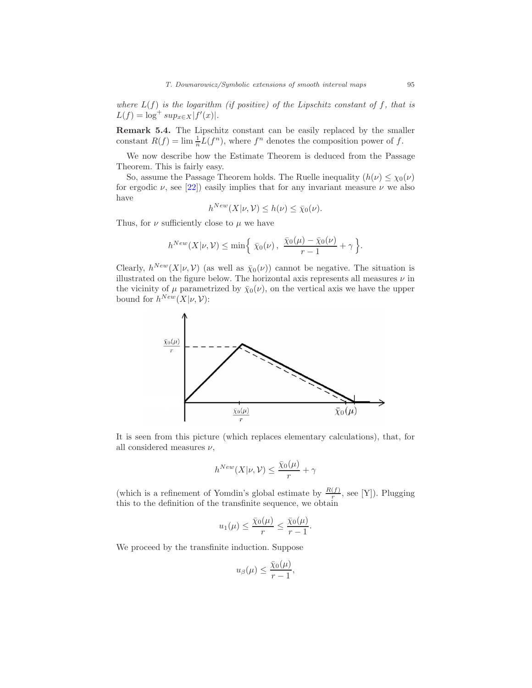where  $L(f)$  is the logarithm (if positive) of the Lipschitz constant of f, that is  $L(f) = \log^+ \sup_{x \in X} |f'(x)|.$ 

Remark 5.4. The Lipschitz constant can be easily replaced by the smaller constant  $R(f) = \lim_{n \to \infty} \frac{1}{n} L(f^n)$ , where  $f^n$  denotes the composition power of f.

We now describe how the Estimate Theorem is deduced from the Passage Theorem. This is fairly easy.

So, assume the Passage Theorem holds. The Ruelle inequality  $(h(\nu) \leq \chi_0(\nu))$ for ergodic  $\nu$ , see [\[22\]](#page-20-4)) easily implies that for any invariant measure  $\nu$  we also have

$$
h^{New}(X|\nu, \mathcal{V}) \le h(\nu) \le \bar{\chi}_0(\nu).
$$

Thus, for  $\nu$  sufficiently close to  $\mu$  we have

$$
h^{New}(X|\nu, V) \le \min\left\{\overline{\chi}_0(\nu), \ \frac{\overline{\chi}_0(\mu) - \overline{\chi}_0(\nu)}{r - 1} + \gamma\right\}.
$$

Clearly,  $h^{New}(X|\nu, V)$  (as well as  $\bar{\chi}_0(\nu)$ ) cannot be negative. The situation is illustrated on the figure below. The horizontal axis represents all measures  $\nu$  in the vicinity of  $\mu$  parametrized by  $\bar{\chi}_0(\nu)$ , on the vertical axis we have the upper bound for  $h^{New}(X|\nu, \mathcal{V})$ :



It is seen from this picture (which replaces elementary calculations), that, for all considered measures  $\nu$ ,

$$
h^{New}(X|\nu, V) \le \frac{\bar{\chi}_0(\mu)}{r} + \gamma
$$

(which is a refinement of Yomdin's global estimate by  $\frac{R(f)}{r}$ , see [Y]). Plugging this to the definition of the transfinite sequence, we obtain

$$
u_1(\mu) \le \frac{\bar{\chi}_0(\mu)}{r} \le \frac{\bar{\chi}_0(\mu)}{r-1}.
$$

We proceed by the transfinite induction. Suppose

$$
u_{\beta}(\mu) \leq \frac{\bar{\chi}_0(\mu)}{r-1},
$$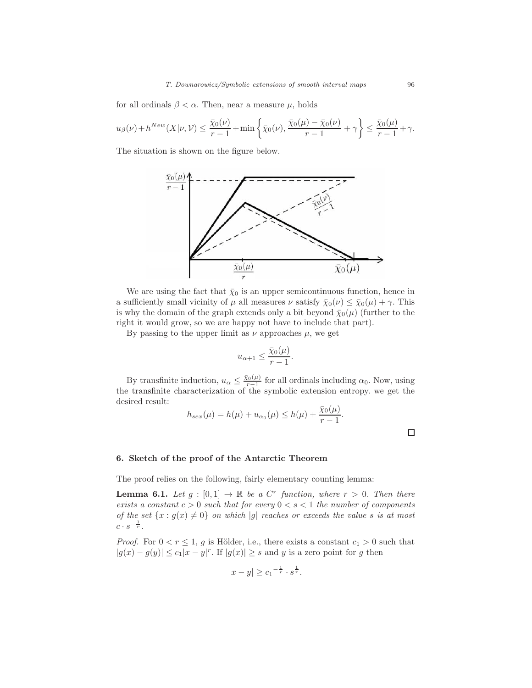for all ordinals  $\beta < \alpha$ . Then, near a measure  $\mu$ , holds

$$
u_{\beta}(\nu)+h^{New}(X|\nu,\mathcal{V})\leq \frac{\bar{\chi}_{0}(\nu)}{r-1}+\min\left\{\bar{\chi}_{0}(\nu),\frac{\bar{\chi}_{0}(\mu)-\bar{\chi}_{0}(\nu)}{r-1}+\gamma\right\}\leq \frac{\bar{\chi}_{0}(\mu)}{r-1}+\gamma.
$$

The situation is shown on the figure below.



We are using the fact that  $\bar{\chi}_0$  is an upper semicontinuous function, hence in a sufficiently small vicinity of  $\mu$  all measures  $\nu$  satisfy  $\bar{\chi}_0(\nu) \leq \bar{\chi}_0(\mu) + \gamma$ . This is why the domain of the graph extends only a bit beyond  $\bar{\chi}_0(\mu)$  (further to the right it would grow, so we are happy not have to include that part).

By passing to the upper limit as  $\nu$  approaches  $\mu$ , we get

$$
u_{\alpha+1} \le \frac{\bar{\chi}_0(\mu)}{r-1}.
$$

By transfinite induction,  $u_{\alpha} \leq \frac{\bar{\chi}_0(\mu)}{r-1}$  $\frac{\partial \alpha(\mu)}{\partial r-1}$  for all ordinals including  $\alpha_0$ . Now, using the transfinite characterization of the symbolic extension entropy. we get the desired result:

$$
h_{sex}(\mu) = h(\mu) + u_{\alpha_0}(\mu) \le h(\mu) + \frac{\bar{\chi}_0(\mu)}{r - 1}.
$$

# <span id="page-12-0"></span>6. Sketch of the proof of the Antarctic Theorem

The proof relies on the following, fairly elementary counting lemma:

**Lemma 6.1.** Let  $g : [0,1] \to \mathbb{R}$  be a C<sup>r</sup> function, where  $r > 0$ . Then there exists a constant  $c > 0$  such that for every  $0 < s < 1$  the number of components of the set  $\{x : g(x) \neq 0\}$  on which |g| reaches or exceeds the value s is at most  $c \cdot s^{-\frac{1}{r}}$ .

*Proof.* For  $0 < r \leq 1$ , g is Hölder, i.e., there exists a constant  $c_1 > 0$  such that  $|g(x) - g(y)| \leq c_1 |x - y|^r$ . If  $|g(x)| \geq s$  and y is a zero point for g then

$$
|x-y|\geq c_1^{-\frac{1}{r}}\cdot s^{\frac{1}{r}}.
$$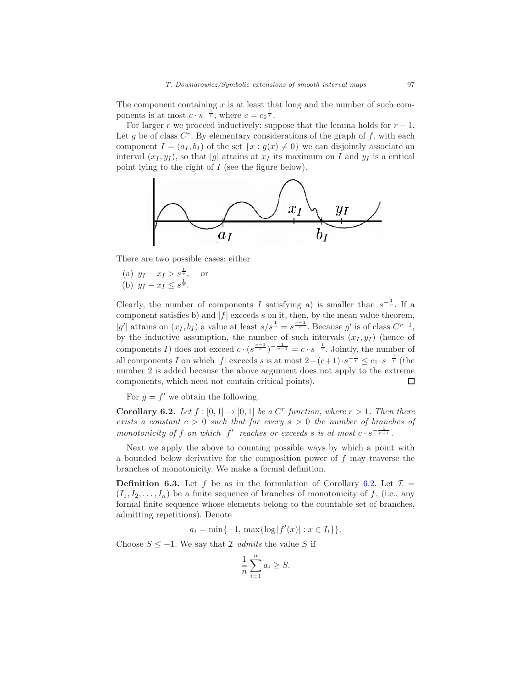The component containing  $x$  is at least that long and the number of such components is at most  $c \cdot s^{-\frac{1}{r}}$ , where  $c = c_1^{\frac{1}{r}}$ .

For larger r we proceed inductively: suppose that the lemma holds for  $r - 1$ . Let g be of class  $C<sup>r</sup>$ . By elementary considerations of the graph of f, with each component  $I = (a_I, b_I)$  of the set  $\{x : g(x) \neq 0\}$  we can disjointly associate an interval  $(x_I, y_I)$ , so that |g| attains at  $x_I$  its maximum on I and  $y_I$  is a critical point lying to the right of I (see the figure below).



There are two possible cases: either

- (a)  $y_I x_I > s^{\frac{1}{r}},$  or
- (b)  $y_I x_I \leq s^{\frac{1}{r}}$ .

Clearly, the number of components I satisfying a) is smaller than  $s^{-\frac{1}{r}}$ . If a component satisfies b) and  $|f|$  exceeds s on it, then, by the mean value theorem,  $|g'|$  attains on  $(x_I, b_I)$  a value at least  $s/s^{\frac{1}{r}} = s^{\frac{r-1}{r}}$ . Because g' is of class  $C^{r-1}$ , by the inductive assumption, the number of such intervals  $(x_I, y_I)$  (hence of components I) does not exceed  $c \cdot (s^{\frac{r-1}{r}})^{-\frac{1}{r-1}} = c \cdot s^{-\frac{1}{r}}$ . Jointly, the number of all components I on which |f| exceeds s is at most  $2+(c+1)\cdot s^{-\frac{1}{r}} \leq c_1 \cdot s^{-\frac{1}{r}}$  (the number 2 is added because the above argument does not apply to the extreme components, which need not contain critical points).  $\Box$ 

For  $g = f'$  we obtain the following.

<span id="page-13-0"></span>**Corollary 6.2.** Let  $f : [0,1] \rightarrow [0,1]$  be a C<sup>r</sup> function, where  $r > 1$ . Then there exists a constant  $c > 0$  such that for every  $s > 0$  the number of branches of monotonicity of f on which |f'| reaches or exceeds s is at most  $c \cdot s^{-\frac{1}{r-1}}$ .

Next we apply the above to counting possible ways by which a point with a bounded below derivative for the composition power of f may traverse the branches of monotonicity. We make a formal definition.

**Definition 6.3.** Let f be as in the formulation of Corollary [6.2.](#page-13-0) Let  $\mathcal{I} =$  $(I_1, I_2, \ldots, I_n)$  be a finite sequence of branches of monotonicity of f, (i.e., any formal finite sequence whose elements belong to the countable set of branches, admitting repetitions). Denote

 $a_i = \min\{-1, \max\{\log |f'(x)| : x \in I_i\}\}.$ 

Choose  $S \leq -1$ . We say that  $\mathcal I$  admits the value S if

$$
\frac{1}{n}\sum_{i=1}^{n}a_i \ge S.
$$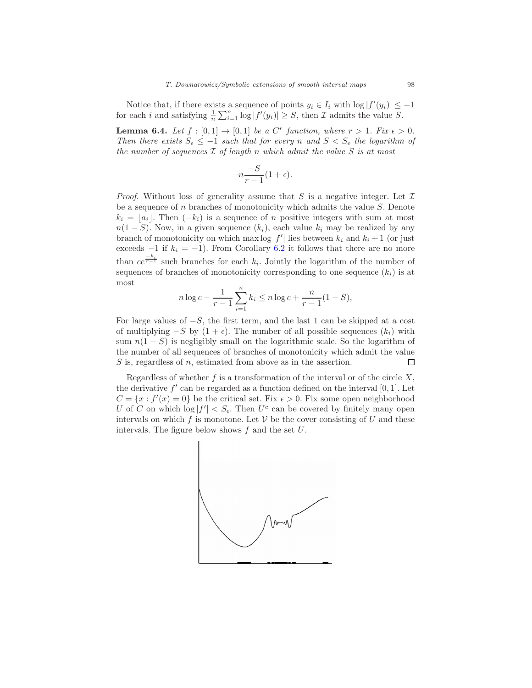Notice that, if there exists a sequence of points  $y_i \in I_i$  with  $\log |f'(y_i)| \leq -1$ for each i and satisfying  $\frac{1}{n} \sum_{i=1}^{n} \log |f'(y_i)| \geq S$ , then  $\mathcal I$  admits the value  $S$ .

<span id="page-14-0"></span>**Lemma 6.4.** Let  $f : [0,1] \rightarrow [0,1]$  be a C<sup>r</sup> function, where  $r > 1$ . Fix  $\epsilon > 0$ . Then there exists  $S_{\epsilon} \leq -1$  such that for every n and  $S \leq S_{\epsilon}$  the logarithm of the number of sequences  $\mathcal I$  of length n which admit the value  $S$  is at most

$$
n\frac{-S}{r-1}(1+\epsilon).
$$

*Proof.* Without loss of generality assume that S is a negative integer. Let  $\mathcal I$ be a sequence of n branches of monotonicity which admits the value  $S$ . Denote  $k_i = |a_i|$ . Then  $(-k_i)$  is a sequence of n positive integers with sum at most  $n(1-S)$ . Now, in a given sequence  $(k_i)$ , each value  $k_i$  may be realized by any branch of monotonicity on which max  $\log|f'|$  lies between  $k_i$  and  $k_i + 1$  (or just exceeds  $-1$  if  $k_i = -1$ ). From Corollary [6.2](#page-13-0) it follows that there are no more than  $ce^{\frac{-k_i}{r-1}}$  such branches for each  $k_i$ . Jointly the logarithm of the number of sequences of branches of monotonicity corresponding to one sequence  $(k_i)$  is at most

$$
n \log c - \frac{1}{r-1} \sum_{i=1}^{n} k_i \le n \log c + \frac{n}{r-1} (1-S),
$$

For large values of −S, the first term, and the last 1 can be skipped at a cost of multiplying  $-S$  by  $(1 + \epsilon)$ . The number of all possible sequences  $(k_i)$  with sum  $n(1-S)$  is negligibly small on the logarithmic scale. So the logarithm of the number of all sequences of branches of monotonicity which admit the value  $S$  is, regardless of  $n$ , estimated from above as in the assertion. □

Regardless of whether  $f$  is a transformation of the interval or of the circle  $X$ , the derivative  $f'$  can be regarded as a function defined on the interval  $[0, 1]$ . Let  $C = \{x : f'(x) = 0\}$  be the critical set. Fix  $\epsilon > 0$ . Fix some open neighborhood U of C on which  $\log |f'| < S_{\epsilon}$ . Then  $U^c$  can be covered by finitely many open intervals on which f is monotone. Let  $\mathcal V$  be the cover consisting of U and these intervals. The figure below shows  $f$  and the set  $U$ .

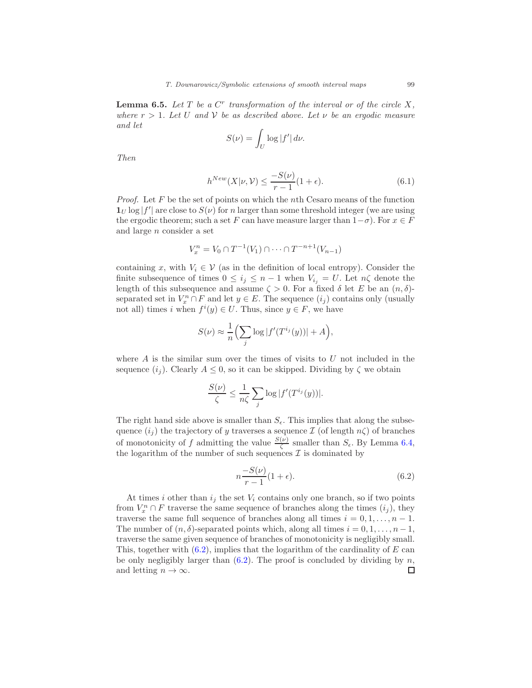<span id="page-15-1"></span>**Lemma 6.5.** Let  $T$  be a  $C<sup>r</sup>$  transformation of the interval or of the circle  $X$ , where  $r > 1$ . Let U and V be as described above. Let v be an ergodic measure and let

$$
S(\nu) = \int_U \log|f'| d\nu.
$$

Then

<span id="page-15-2"></span>
$$
h^{New}(X|\nu, \mathcal{V}) \le \frac{-S(\nu)}{r-1}(1+\epsilon). \tag{6.1}
$$

*Proof.* Let  $F$  be the set of points on which the nth Cesaro means of the function  $\mathbf{1}_U \log |f'|$  are close to  $S(\nu)$  for n larger than some threshold integer (we are using the ergodic theorem; such a set F can have measure larger than  $1-\sigma$ ). For  $x \in F$ and large n consider a set

$$
V_x^n = V_0 \cap T^{-1}(V_1) \cap \dots \cap T^{-n+1}(V_{n-1})
$$

containing x, with  $V_i \in \mathcal{V}$  (as in the definition of local entropy). Consider the finite subsequence of times  $0 \leq i_j \leq n-1$  when  $V_{i_j} = U$ . Let  $n\zeta$  denote the length of this subsequence and assume  $\zeta > 0$ . For a fixed  $\delta$  let E be an  $(n, \delta)$ separated set in  $V_x^n \cap F$  and let  $y \in E$ . The sequence  $(i_j)$  contains only (usually not all) times i when  $f^i(y) \in U$ . Thus, since  $y \in F$ , we have

$$
S(\nu) \approx \frac{1}{n} \left( \sum_{j} \log |f'(T^{i_j}(y))| + A \right),
$$

where  $A$  is the similar sum over the times of visits to  $U$  not included in the sequence  $(i_i)$ . Clearly  $A \leq 0$ , so it can be skipped. Dividing by  $\zeta$  we obtain

$$
\frac{S(\nu)}{\zeta} \le \frac{1}{n\zeta} \sum_j \log |f'(T^{i_j}(y))|.
$$

The right hand side above is smaller than  $S_{\epsilon}$ . This implies that along the subsequence  $(i_j)$  the trajectory of y traverses a sequence  $\mathcal I$  (of length  $n\zeta$ ) of branches of monotonicity of f admitting the value  $\frac{S(\nu)}{\zeta}$  smaller than  $S_{\epsilon}$ . By Lemma [6.4,](#page-14-0) the logarithm of the number of such sequences  $\mathcal I$  is dominated by

<span id="page-15-0"></span>
$$
n\frac{-S(\nu)}{r-1}(1+\epsilon). \tag{6.2}
$$

At times i other than  $i_j$  the set  $V_i$  contains only one branch, so if two points from  $V_x^n \cap F$  traverse the same sequence of branches along the times  $(i_j)$ , they traverse the same full sequence of branches along all times  $i = 0, 1, \ldots, n - 1$ . The number of  $(n, \delta)$ -separated points which, along all times  $i = 0, 1, \ldots, n-1$ , traverse the same given sequence of branches of monotonicity is negligibly small. This, together with  $(6.2)$ , implies that the logarithm of the cardinality of E can be only negligibly larger than  $(6.2)$ . The proof is concluded by dividing by n, and letting  $n \to \infty$ .  $\Box$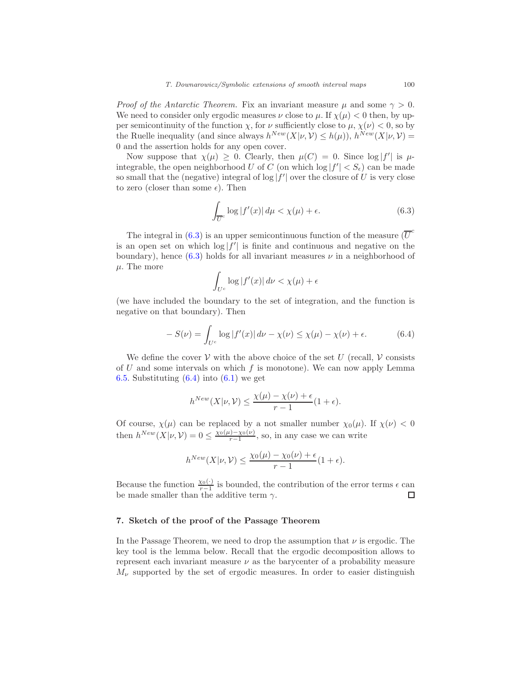*Proof of the Antarctic Theorem.* Fix an invariant measure  $\mu$  and some  $\gamma > 0$ . We need to consider only ergodic measures  $\nu$  close to  $\mu$ . If  $\chi(\mu) < 0$  then, by upper semicontinuity of the function  $\chi$ , for  $\nu$  sufficiently close to  $\mu$ ,  $\chi(\nu) < 0$ , so by the Ruelle inequality (and since always  $h^{New}(X|\nu, V) \leq h(\mu)$ ),  $h^{New}(X|\nu, V) =$ 0 and the assertion holds for any open cover.

Now suppose that  $\chi(\mu) \geq 0$ . Clearly, then  $\mu(C) = 0$ . Since  $\log|f'|$  is  $\mu$ integrable, the open neighborhood U of C (on which  $\log|f'| < S_{\epsilon}$ ) can be made so small that the (negative) integral of  $\log|f'|$  over the closure of U is very close to zero (closer than some  $\epsilon$ ). Then

<span id="page-16-1"></span>
$$
\int_{\overline{U}^c} \log |f'(x)| \, d\mu < \chi(\mu) + \epsilon. \tag{6.3}
$$

The integral in [\(6.3\)](#page-16-1) is an upper semicontinuous function of the measure  $(\overline{U}^c)$ is an open set on which  $\log|f'|$  is finite and continuous and negative on the boundary), hence  $(6.3)$  holds for all invariant measures  $\nu$  in a neighborhood of  $\mu$ . The more

$$
\int_{U^c} \log |f'(x)| \, d\nu < \chi(\mu) + \epsilon
$$

(we have included the boundary to the set of integration, and the function is negative on that boundary). Then

<span id="page-16-2"></span>
$$
-S(\nu) = \int_{U^c} \log |f'(x)| d\nu - \chi(\nu) \le \chi(\mu) - \chi(\nu) + \epsilon.
$$
 (6.4)

We define the cover  $\mathcal V$  with the above choice of the set U (recall,  $\mathcal V$  consists of  $U$  and some intervals on which  $f$  is monotone). We can now apply Lemma [6.5.](#page-15-1) Substituting  $(6.4)$  into  $(6.1)$  we get

$$
h^{New}(X|\nu, \mathcal{V}) \le \frac{\chi(\mu) - \chi(\nu) + \epsilon}{r - 1} (1 + \epsilon).
$$

Of course,  $\chi(\mu)$  can be replaced by a not smaller number  $\chi_0(\mu)$ . If  $\chi(\nu) < 0$ then  $h^{New}(X|\nu, V) = 0 \leq \frac{\chi_0(\mu) - \chi_0(\nu)}{r-1}$  $\frac{r_1 - \chi_0(\nu)}{r_1 - 1}$ , so, in any case we can write

$$
h^{New}(X|\nu, \mathcal{V}) \le \frac{\chi_0(\mu) - \chi_0(\nu) + \epsilon}{r - 1} (1 + \epsilon).
$$

Because the function  $\frac{\chi_0(\cdot)}{r-1}$  is bounded, the contribution of the error terms  $\epsilon$  can be made smaller than the additive term  $\gamma$ .  $\Box$ 

# <span id="page-16-0"></span>7. Sketch of the proof of the Passage Theorem

In the Passage Theorem, we need to drop the assumption that  $\nu$  is ergodic. The key tool is the lemma below. Recall that the ergodic decomposition allows to represent each invariant measure  $\nu$  as the barycenter of a probability measure  $M_{\nu}$  supported by the set of ergodic measures. In order to easier distinguish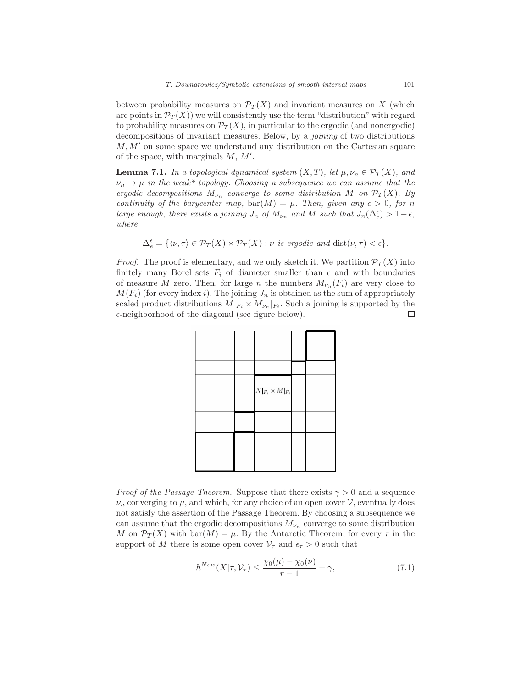between probability measures on  $\mathcal{P}_T(X)$  and invariant measures on X (which are points in  $\mathcal{P}_T(X)$  we will consistently use the term "distribution" with regard to probability measures on  $\mathcal{P}_T(X)$ , in particular to the ergodic (and nonergodic) decompositions of invariant measures. Below, by a joining of two distributions  $M, M'$  on some space we understand any distribution on the Cartesian square of the space, with marginals  $M, M'$ .

<span id="page-17-1"></span>**Lemma 7.1.** In a topological dynamical system  $(X, T)$ , let  $\mu, \nu_n \in \mathcal{P}_T(X)$ , and  $\nu_n \to \mu$  in the weak\* topology. Choosing a subsequence we can assume that the ergodic decompositions  $M_{\nu_n}$  converge to some distribution M on  $\mathcal{P}_T(X)$ . By continuity of the barycenter map,  $bar(M) = \mu$ . Then, given any  $\epsilon > 0$ , for n large enough, there exists a joining  $J_n$  of  $M_{\nu_n}$  and M such that  $J_n(\Delta_e^{\epsilon}) > 1 - \epsilon$ , where

$$
\Delta_e^{\epsilon} = \{ \langle \nu, \tau \rangle \in \mathcal{P}_T(X) \times \mathcal{P}_T(X) : \nu \text{ is ergodic and } \text{dist}(\nu, \tau) < \epsilon \}.
$$

*Proof.* The proof is elementary, and we only sketch it. We partition  $\mathcal{P}_T(X)$  into finitely many Borel sets  $F_i$  of diameter smaller than  $\epsilon$  and with boundaries of measure M zero. Then, for large n the numbers  $M_{\nu_n}(F_i)$  are very close to  $M(F_i)$  (for every index i). The joining  $J_n$  is obtained as the sum of appropriately scaled product distributions  $M|_{F_i} \times M_{\nu_n}|_{F_i}$ . Such a joining is supported by the  $\epsilon$ -neighborhood of the diagonal (see figure below).  $\Box$ 

|  | $N _{F_i} \times M _{F_i}$ |  |
|--|----------------------------|--|
|  |                            |  |
|  |                            |  |

*Proof of the Passage Theorem.* Suppose that there exists  $\gamma > 0$  and a sequence  $\nu_n$  converging to  $\mu$ , and which, for any choice of an open cover  $\mathcal{V}$ , eventually does not satisfy the assertion of the Passage Theorem. By choosing a subsequence we can assume that the ergodic decompositions  $M_{\nu_n}$  converge to some distribution M on  $\mathcal{P}_T(X)$  with  $bar(M) = \mu$ . By the Antarctic Theorem, for every  $\tau$  in the support of M there is some open cover  $\mathcal{V}_{\tau}$  and  $\epsilon_{\tau} > 0$  such that

<span id="page-17-0"></span>
$$
h^{New}(X|\tau, \mathcal{V}_{\tau}) \le \frac{\chi_0(\mu) - \chi_0(\nu)}{r - 1} + \gamma,\tag{7.1}
$$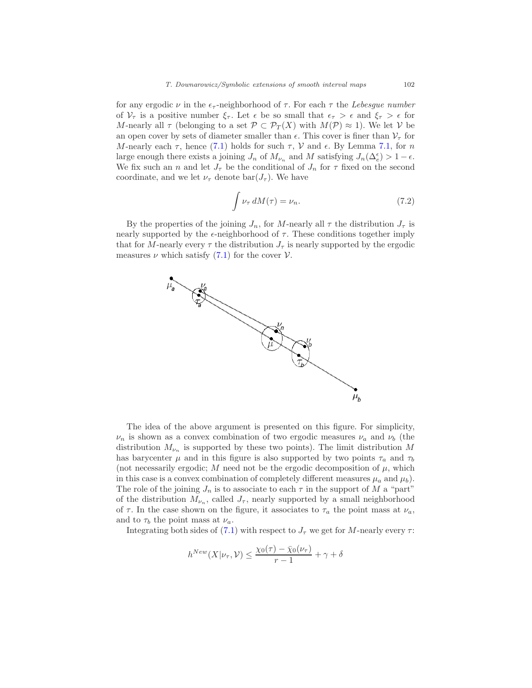for any ergodic  $\nu$  in the  $\epsilon_{\tau}$ -neighborhood of  $\tau$ . For each  $\tau$  the Lebesgue number of  $V_\tau$  is a positive number  $\xi_\tau$ . Let  $\epsilon$  be so small that  $\epsilon_\tau > \epsilon$  and  $\xi_\tau > \epsilon$  for M-nearly all  $\tau$  (belonging to a set  $\mathcal{P} \subset \mathcal{P}_T(X)$  with  $M(\mathcal{P}) \approx 1$ ). We let  $\mathcal V$  be an open cover by sets of diameter smaller than  $\epsilon$ . This cover is finer than  $\mathcal{V}_{\tau}$  for M-nearly each  $\tau$ , hence [\(7.1\)](#page-17-0) holds for such  $\tau$ , V and  $\epsilon$ . By Lemma [7.1,](#page-17-1) for n large enough there exists a joining  $J_n$  of  $M_{\nu_n}$  and M satisfying  $J_n(\Delta_e^{\epsilon}) > 1 - \epsilon$ . We fix such an n and let  $J_{\tau}$  be the conditional of  $J_n$  for  $\tau$  fixed on the second coordinate, and we let  $\nu_{\tau}$  denote  $bar(J_{\tau})$ . We have

<span id="page-18-0"></span>
$$
\int \nu_{\tau} dM(\tau) = \nu_n. \tag{7.2}
$$

By the properties of the joining  $J_n$ , for M-nearly all  $\tau$  the distribution  $J_{\tau}$  is nearly supported by the  $\epsilon$ -neighborhood of  $\tau$ . These conditions together imply that for M-nearly every  $\tau$  the distribution  $J_{\tau}$  is nearly supported by the ergodic measures  $\nu$  which satisfy [\(7.1\)](#page-17-0) for the cover  $\nu$ .



The idea of the above argument is presented on this figure. For simplicity,  $\nu_n$  is shown as a convex combination of two ergodic measures  $\nu_a$  and  $\nu_b$  (the distribution  $M_{\nu_n}$  is supported by these two points). The limit distribution M has barycenter  $\mu$  and in this figure is also supported by two points  $\tau_a$  and  $\tau_b$ (not necessarily ergodic;  $M$  need not be the ergodic decomposition of  $\mu$ , which in this case is a convex combination of completely different measures  $\mu_a$  and  $\mu_b$ ). The role of the joining  $J_n$  is to associate to each  $\tau$  in the support of M a "part" of the distribution  $M_{\nu_n}$ , called  $J_{\tau}$ , nearly supported by a small neighborhood of  $\tau$ . In the case shown on the figure, it associates to  $\tau_a$  the point mass at  $\nu_a$ , and to  $\tau_b$  the point mass at  $\nu_a$ .

Integrating both sides of [\(7.1\)](#page-17-0) with respect to  $J_{\tau}$  we get for M-nearly every  $\tau$ :

$$
h^{New}(X|\nu_{\tau}, \mathcal{V}) \le \frac{\chi_0(\tau) - \bar{\chi}_0(\nu_{\tau})}{r - 1} + \gamma + \delta
$$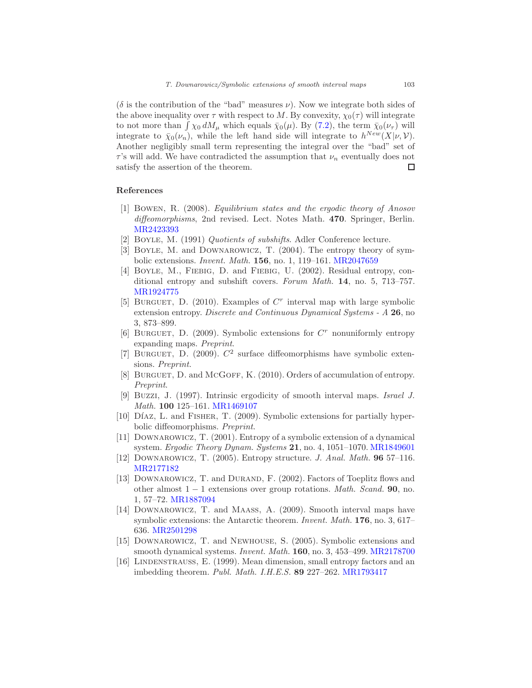( $\delta$  is the contribution of the "bad" measures  $\nu$ ). Now we integrate both sides of the above inequality over  $\tau$  with respect to M. By convexity,  $\chi_0(\tau)$  will integrate to not more than  $\int \chi_0 dM_\mu$  which equals  $\bar{\chi}_0(\mu)$ . By [\(7.2\)](#page-18-0), the term  $\bar{\chi}_0(\nu_\tau)$  will integrate to  $\bar{\chi}_0(\nu_n)$ , while the left hand side will integrate to  $h^{New}(X|\nu, \mathcal{V})$ . Another negligibly small term representing the integral over the "bad" set of  $\tau$ 's will add. We have contradicted the assumption that  $\nu_n$  eventually does not satisfy the assertion of the theorem.  $\Box$ 

# <span id="page-19-1"></span>References

- <span id="page-19-4"></span>[1] Bowen, R. (2008). Equilibrium states and the ergodic theory of Anosov diffeomorphisms, 2nd revised. Lect. Notes Math. 470. Springer, Berlin. [MR2423393](http://www.ams.org/mathscinet-getitem?mr=2423393)
- <span id="page-19-6"></span>[2] BOYLE, M. (1991) *Quotients of subshifts*. Adler Conference lecture.
- <span id="page-19-2"></span>[3] Boyle, M. and Downarowicz, T. (2004). The entropy theory of symbolic extensions. Invent. Math. 156, no. 1, 119–161. [MR2047659](http://www.ams.org/mathscinet-getitem?mr=2047659)
- <span id="page-19-8"></span>[4] BOYLE, M., FIEBIG, D. and FIEBIG, U. (2002). Residual entropy, conditional entropy and subshift covers. Forum Math. 14, no. 5, 713–757. [MR1924775](http://www.ams.org/mathscinet-getitem?mr=1924775)
- <span id="page-19-13"></span>[5] BURGUET, D. (2010). Examples of  $C<sup>r</sup>$  interval map with large symbolic extension entropy. Discrete and Continuous Dynamical Systems - A 26, no 3, 873–899.
- <span id="page-19-15"></span>[6] BURGUET, D. (2009). Symbolic extensions for  $C<sup>r</sup>$  nonuniformly entropy expanding maps. Preprint.
- <span id="page-19-16"></span>[7] BURGUET, D. (2009).  $C^2$  surface diffeomorphisms have symbolic extensions. Preprint.
- <span id="page-19-11"></span>[8] BURGUET, D. and MCGOFF, K. (2010). Orders of accumulation of entropy. Preprint.
- <span id="page-19-9"></span>[9] Buzzi, J. (1997). Intrinsic ergodicity of smooth interval maps. Israel J. Math. 100 125–161. [MR1469107](http://www.ams.org/mathscinet-getitem?mr=1469107)
- <span id="page-19-14"></span>[10] D $\acute{I}$ Az, L. and FISHER, T. (2009). Symbolic extensions for partially hyperbolic diffeomorphisms. Preprint.
- <span id="page-19-7"></span>[11] Downarowicz, T. (2001). Entropy of a symbolic extension of a dynamical system. Ergodic Theory Dynam. Systems 21, no. 4, 1051–1070. [MR1849601](http://www.ams.org/mathscinet-getitem?mr=1849601)
- <span id="page-19-3"></span>[12] Downarowicz, T. (2005). Entropy structure. J. Anal. Math. 96 57–116. [MR2177182](http://www.ams.org/mathscinet-getitem?mr=2177182)
- <span id="page-19-5"></span>[13] DOWNAROWICZ, T. and DURAND, F. (2002). Factors of Toeplitz flows and other almost  $1 - 1$  extensions over group rotations. Math. Scand. **90**, no. 1, 57–72. [MR1887094](http://www.ams.org/mathscinet-getitem?mr=1887094)
- <span id="page-19-12"></span>[14] DOWNAROWICZ, T. and MAASS, A. (2009). Smooth interval maps have symbolic extensions: the Antarctic theorem. Invent. Math. 176, no. 3, 617– 636. [MR2501298](http://www.ams.org/mathscinet-getitem?mr=2501298)
- <span id="page-19-0"></span>[15] Downarowicz, T. and Newhouse, S. (2005). Symbolic extensions and smooth dynamical systems. Invent. Math. 160, no. 3, 453–499. [MR2178700](http://www.ams.org/mathscinet-getitem?mr=2178700)
- <span id="page-19-10"></span>[16] Lindenstrauss, E. (1999). Mean dimension, small entropy factors and an imbedding theorem. Publ. Math. I.H.E.S. 89 227–262. [MR1793417](http://www.ams.org/mathscinet-getitem?mr=1793417)